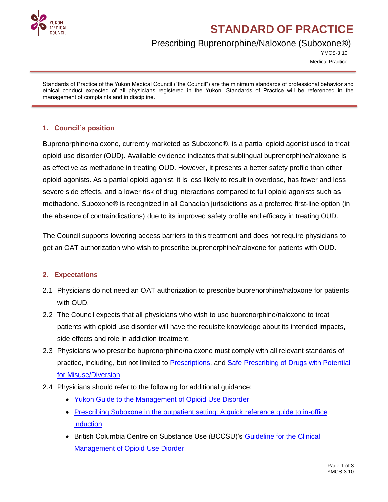

# **STANDARD OF PRACTICE**

## Prescribing Buprenorphine/Naloxone (Suboxone®)

YMCS-3.10 Medical Practice

Standards of Practice of the Yukon Medical Council ("the Council") are the minimum standards of professional behavior and ethical conduct expected of all physicians registered in the Yukon. Standards of Practice will be referenced in the management of complaints and in discipline.

#### **1. Council's position**

Buprenorphine/naloxone, currently marketed as Suboxone®, is a partial opioid agonist used to treat opioid use disorder (OUD). Available evidence indicates that sublingual buprenorphine/naloxone is as effective as methadone in treating OUD. However, it presents a better safety profile than other opioid agonists. As a partial opioid agonist, it is less likely to result in overdose, has fewer and less severe side effects, and a lower risk of drug interactions compared to full opioid agonists such as methadone. Suboxone® is recognized in all Canadian jurisdictions as a preferred first-line option (in the absence of contraindications) due to its improved safety profile and efficacy in treating OUD.

The Council supports lowering access barriers to this treatment and does not require physicians to get an OAT authorization who wish to prescribe buprenorphine/naloxone for patients with OUD.

#### **2. Expectations**

- 2.1 Physicians do not need an OAT authorization to prescribe buprenorphine/naloxone for patients with OUD.
- 2.2 The Council expects that all physicians who wish to use buprenorphine/naloxone to treat patients with opioid use disorder will have the requisite knowledge about its intended impacts, side effects and role in addiction treatment.
- 2.3 Physicians who prescribe buprenorphine/naloxone must comply with all relevant standards of practice, including, but not limited to [Prescriptions,](http://www.yukonmedicalcouncil.ca/pdfs/Prescriptions.pdf) and [Safe Prescribing of Drugs with Potential](http://www.yukonmedicalcouncil.ca/pdfs/Safe_Prescribing_of_Drugs.pdf)  [for Misuse/Diversion](http://www.yukonmedicalcouncil.ca/pdfs/Safe_Prescribing_of_Drugs.pdf)
- 2.4 Physicians should refer to the following for additional guidance:
	- [Yukon Guide to the Management of Opioid Use Disorder](https://yukon.ca/sites/yukon.ca/files/hss/hss-imgs/guidemanagementofopioidusedisorder.pdf)
	- Prescribing Suboxone in the outpatient setting: A quick reference guide to in-office [induction](https://yukon.ca/en/prescribing-suboxone-outpatient-setting-quick-reference-guide)
	- British Columbia Centre on Substance Use (BCCSU)'s Guideline for the Clinical [Management of Opioid Use Diorder](https://www.bccsu.ca/wp-content/uploads/2017/06/BC-OUD-Guidelines_June2017.pdf)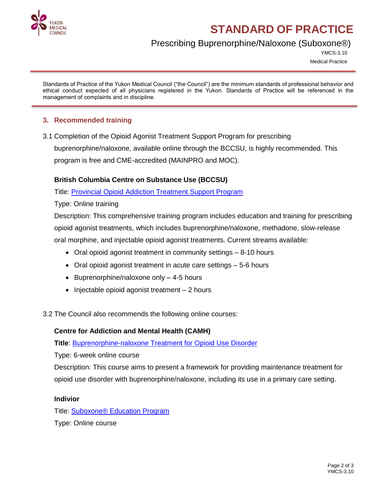

# **STANDARD OF PRACTICE**

## Prescribing Buprenorphine/Naloxone (Suboxone®)

YMCS-3.10

Medical Practice

Standards of Practice of the Yukon Medical Council ("the Council") are the minimum standards of professional behavior and ethical conduct expected of all physicians registered in the Yukon. Standards of Practice will be referenced in the management of complaints and in discipline.

### **3. Recommended training**

3.1 Completion of the Opioid Agonist Treatment Support Program for prescribing

buprenorphine/naloxone, available online through the BCCSU, is highly recommended. This program is free and CME-accredited (MAINPRO and MOC).

#### **British Columbia Centre on Substance Use (BCCSU)**

Title: [Provincial Opioid Addiction Treatment Support Program](http://www.bccsu.ca/provincial-opioid-addiction-treatment-support-program/#support-overview)

Type: Online training

Description: This comprehensive training program includes education and training for prescribing opioid agonist treatments, which includes buprenorphine/naloxone, methadone, slow-release oral morphine, and injectable opioid agonist treatments. Current streams available:

- Oral opioid agonist treatment in community settings 8-10 hours
- Oral opioid agonist treatment in acute care settings 5-6 hours
- $\bullet$  Buprenorphine/naloxone only  $-$  4-5 hours
- $\bullet$  Injectable opioid agonist treatment  $-2$  hours
- 3.2 The Council also recommends the following online courses:

#### **Centre for Addiction and Mental Health (CAMH)**

**Title**: [Buprenorphine-naloxone Treatment for Opioid Use Disorder](https://www.camh.ca/en/education/continuing-education-programs-and-courses/continuing-education-directory/buprenorphine-naloxone-treatment-for-opioid-use-disorder)

Type: 6-week online course

Description: This course aims to present a framework for providing maintenance treatment for opioid use disorder with buprenorphine/naloxone, including its use in a primary care setting.

#### **Indivior**

Title: **Suboxone<sup>®</sup>** Education Program

Type: Online course